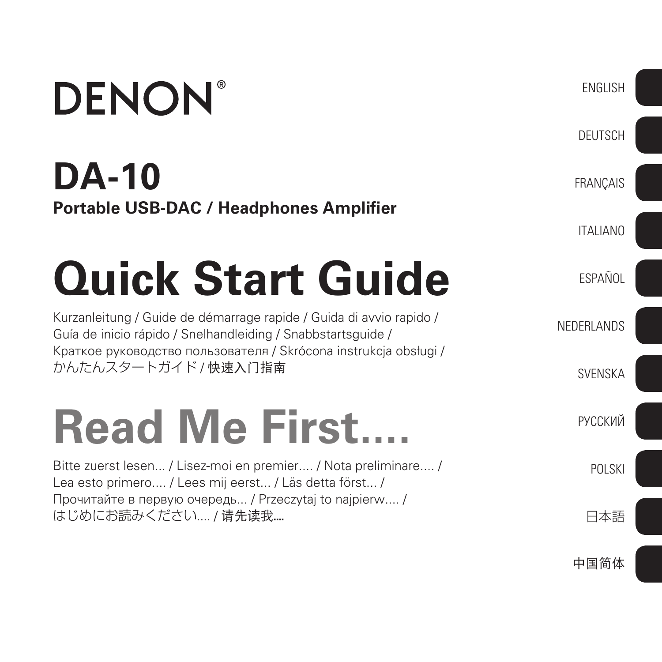## **DENON DA-10 Portable USB-DAC / Headphones Amplifier Quick Start Guide** Kurzanleitung / Guide de démarrage rapide / Guida di avvio rapido /

Guía de inicio rápido / Snelhandleiding / Snabbstartsguide / Краткое руководство пользователя / Skrócona instrukcja obsługi / かんたんスタートガイド / 快速入门指南

# **Read Me First....**

Bitte zuerst lesen... / Lisez-moi en premier.... / Nota preliminare.... / Lea esto primero.... / Lees mij eerst... / Läs detta först... / Прочитайте в первую очередь... / Przeczytaj to najpierw.... / はじめにお読みください.... / 请先读我....

中国简体

日本語

POLSKI

ENGLISH

**DEUTSCH** 

FRANÇAIS

ITALIANO

ESPAÑOL

**SVFNSKA** 

РУССКИЙ

NEDERLANDS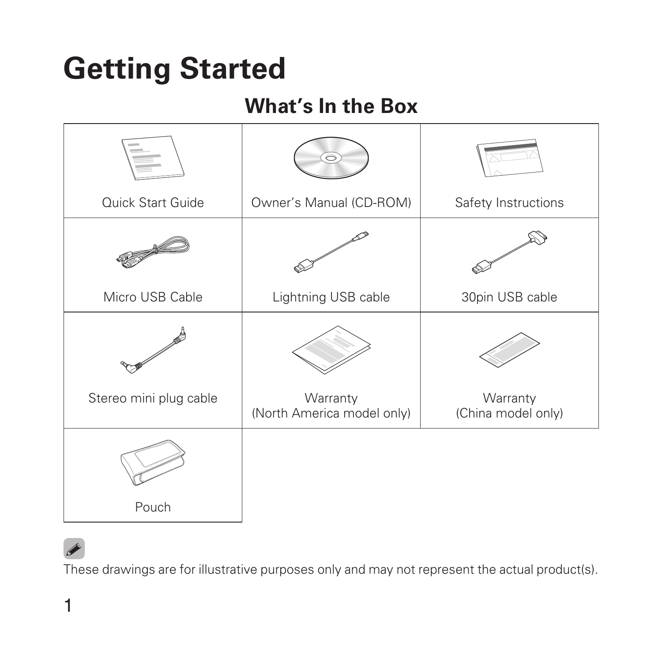### **Getting Started**

### **What's In the Box**

|                        | 6                                      |                                |
|------------------------|----------------------------------------|--------------------------------|
| Quick Start Guide      | Owner's Manual (CD-ROM)                | Safety Instructions            |
|                        |                                        |                                |
| Micro USB Cable        | Lightning USB cable                    | 30pin USB cable                |
|                        |                                        |                                |
| Stereo mini plug cable | Warranty<br>(North America model only) | Warranty<br>(China model only) |
|                        |                                        |                                |
| Pouch                  |                                        |                                |

#### **g**

These drawings are for illustrative purposes only and may not represent the actual product(s).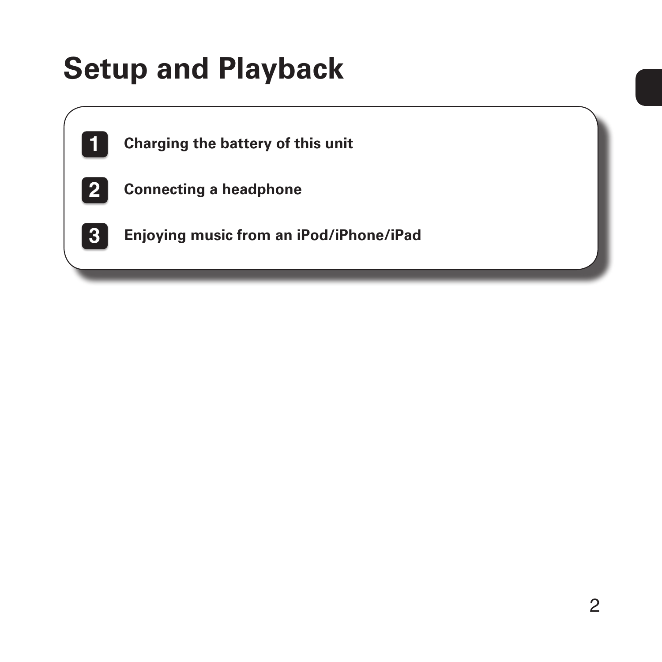### **Setup and Playback**

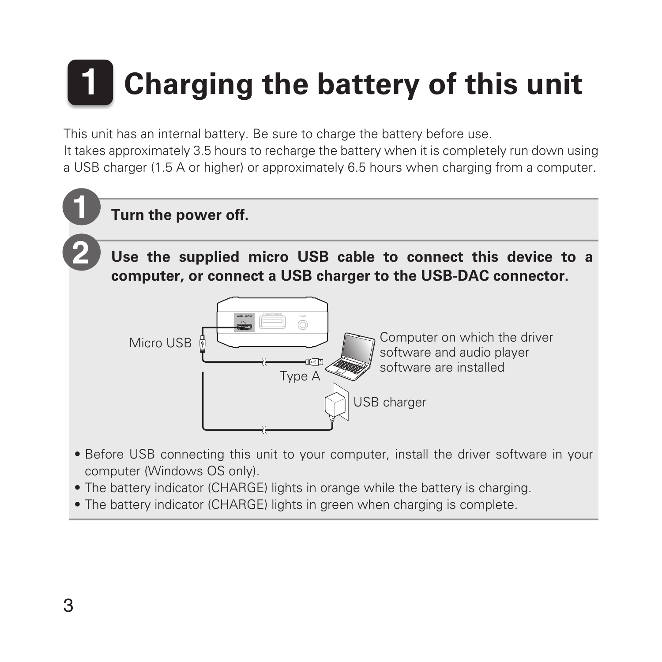# **1 Charging the battery of this unit**

This unit has an internal battery. Be sure to charge the battery before use. It takes approximately 3.5 hours to recharge the battery when it is completely run down using a USB charger (1.5 A or higher) or approximately 6.5 hours when charging from a computer.



- Before USB connecting this unit to your computer, install the driver software in your computer (Windows OS only).
- The battery indicator (CHARGE) lights in orange while the battery is charging.
- The battery indicator (CHARGE) lights in green when charging is complete.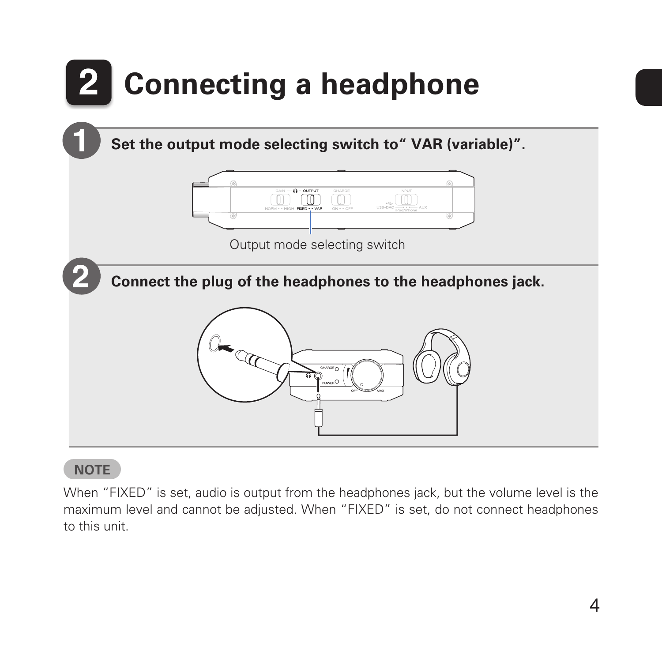

#### **NOTE**

When "FIXED" is set, audio is output from the headphones jack, but the volume level is the maximum level and cannot be adjusted. When "FIXED" is set, do not connect headphones to this unit.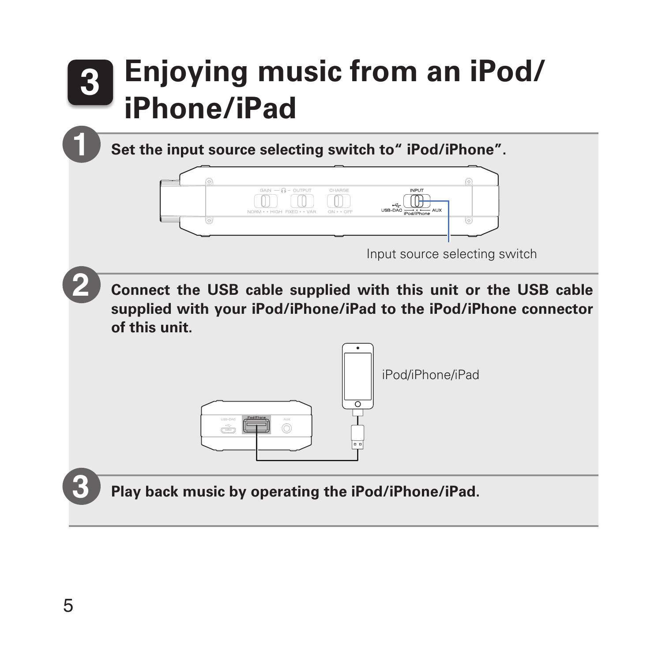## **3 Enjoying music from an iPod/ iPhone/iPad**

**Set the input source selecting switch to" iPod/iPhone".**



**Connect the USB cable supplied with this unit or the USB cable supplied with your iPod/iPhone/iPad to the iPod/iPhone connector of this unit.**



**Play back music by operating the iPod/iPhone/iPad.**

**3**

**1**

**2**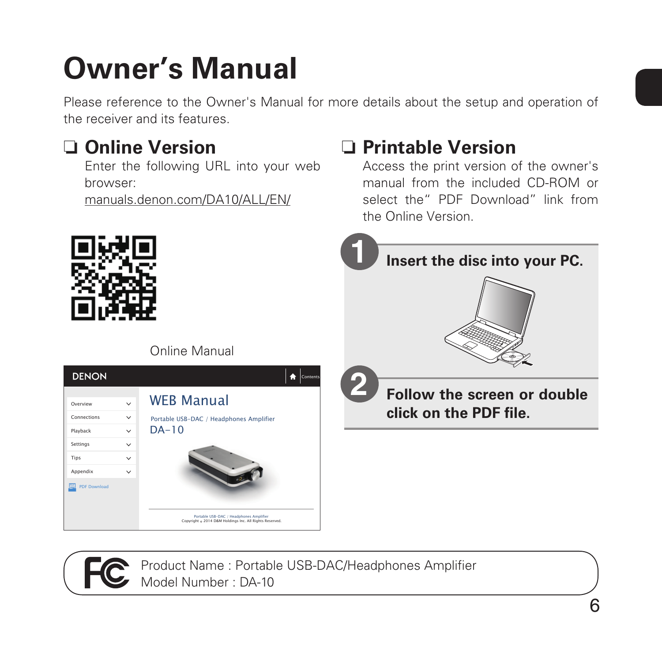## **Owner's Manual**

Please reference to the Owner's Manual for more details about the setup and operation of the receiver and its features.

### □ Online Version

Enter the following URL into your web browser:

manuals.denon.com/DA10/ALL/EN/

#### n **Printable Version**

Access the print version of the owner's manual from the included CD-ROM or select the" PDF Download" link from the Online Version.



Product Name : Portable USB-DAC/Headphones Amplifier Model Number : DA-10